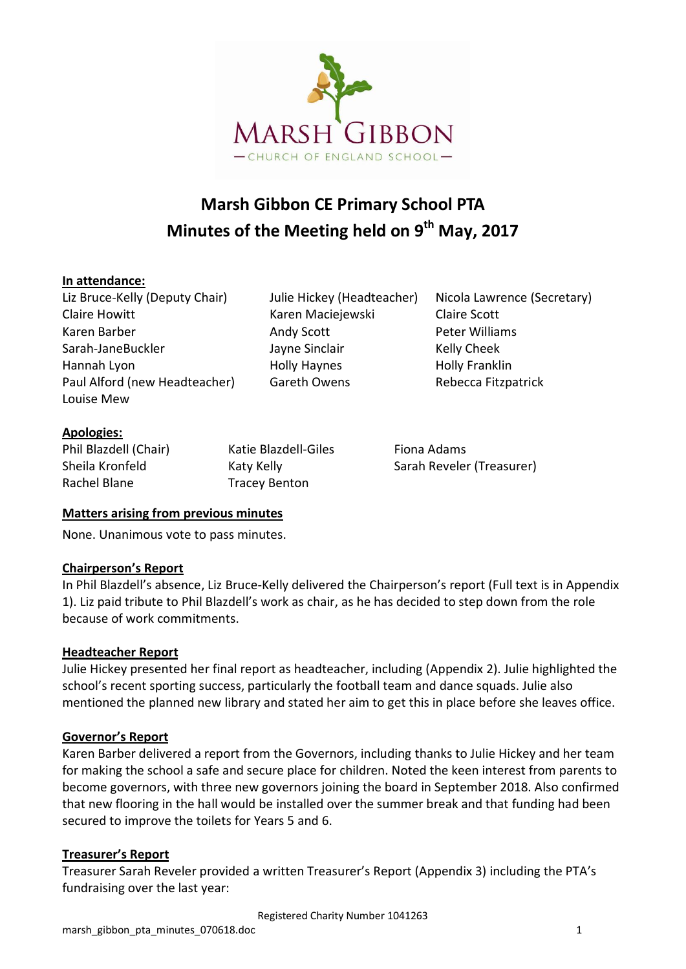

# **Marsh Gibbon CE Primary School PTA Minutes of the Meeting held on 9 th May, 2017**

### **In attendance:**

Liz Bruce-Kelly (Deputy Chair) Julie Hickey (Headteacher) Nicola Lawrence (Secretary) Claire Howitt **Karen Maciejewski** Claire Scott Karen Barber **Andy Scott** Peter Williams **Peter Williams** Sarah-JaneBuckler Jayne Sinclair Kelly Cheek Hannah Lyon Holly Haynes Holly Franklin Paul Alford (new Headteacher) Gareth Owens Rebecca Fitzpatrick Louise Mew

### **Apologies:**

| Phil Blazdell (Chair)           | Katie                  |
|---------------------------------|------------------------|
| Sheila Kronfeld<br>Rachel Blane | Katy k<br><b>Trace</b> |

v Benton

Phil Blazdell (Chair) Katie Blazdell-Giles Fiona Adams Kelly **Sarah Reveler (Treasurer)** 

### **Matters arising from previous minutes**

None. Unanimous vote to pass minutes.

### **Chairperson's Report**

In Phil Blazdell's absence, Liz Bruce-Kelly delivered the Chairperson's report (Full text is in Appendix 1). Liz paid tribute to Phil Blazdell's work as chair, as he has decided to step down from the role because of work commitments.

### **Headteacher Report**

Julie Hickey presented her final report as headteacher, including (Appendix 2). Julie highlighted the school's recent sporting success, particularly the football team and dance squads. Julie also mentioned the planned new library and stated her aim to get this in place before she leaves office.

### **Governor's Report**

Karen Barber delivered a report from the Governors, including thanks to Julie Hickey and her team for making the school a safe and secure place for children. Noted the keen interest from parents to become governors, with three new governors joining the board in September 2018. Also confirmed that new flooring in the hall would be installed over the summer break and that funding had been secured to improve the toilets for Years 5 and 6.

# **Treasurer's Report**

Treasurer Sarah Reveler provided a written Treasurer's Report (Appendix 3) including the PTA's fundraising over the last year: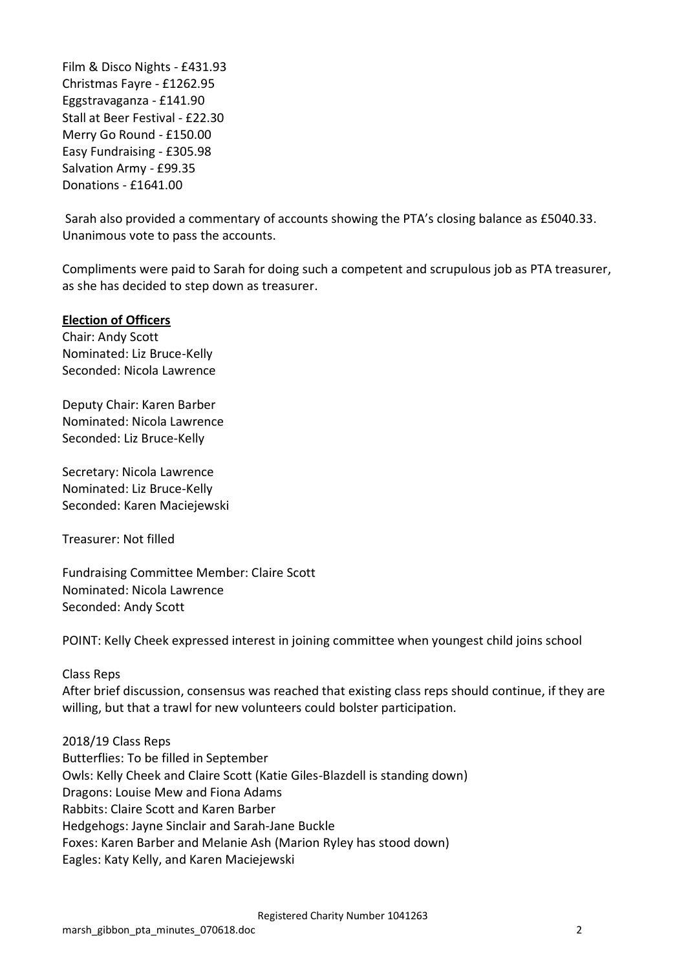Film & Disco Nights - £431.93 Christmas Fayre - £1262.95 Eggstravaganza - £141.90 Stall at Beer Festival - £22.30 Merry Go Round - £150.00 Easy Fundraising - £305.98 Salvation Army - £99.35 Donations - £1641.00

Sarah also provided a commentary of accounts showing the PTA's closing balance as £5040.33. Unanimous vote to pass the accounts.

Compliments were paid to Sarah for doing such a competent and scrupulous job as PTA treasurer, as she has decided to step down as treasurer.

### **Election of Officers**

Chair: Andy Scott Nominated: Liz Bruce-Kelly Seconded: Nicola Lawrence

Deputy Chair: Karen Barber Nominated: Nicola Lawrence Seconded: Liz Bruce-Kelly

Secretary: Nicola Lawrence Nominated: Liz Bruce-Kelly Seconded: Karen Maciejewski

Treasurer: Not filled

Fundraising Committee Member: Claire Scott Nominated: Nicola Lawrence Seconded: Andy Scott

POINT: Kelly Cheek expressed interest in joining committee when youngest child joins school

### Class Reps

After brief discussion, consensus was reached that existing class reps should continue, if they are willing, but that a trawl for new volunteers could bolster participation.

2018/19 Class Reps Butterflies: To be filled in September Owls: Kelly Cheek and Claire Scott (Katie Giles-Blazdell is standing down) Dragons: Louise Mew and Fiona Adams Rabbits: Claire Scott and Karen Barber Hedgehogs: Jayne Sinclair and Sarah-Jane Buckle Foxes: Karen Barber and Melanie Ash (Marion Ryley has stood down) Eagles: Katy Kelly, and Karen Maciejewski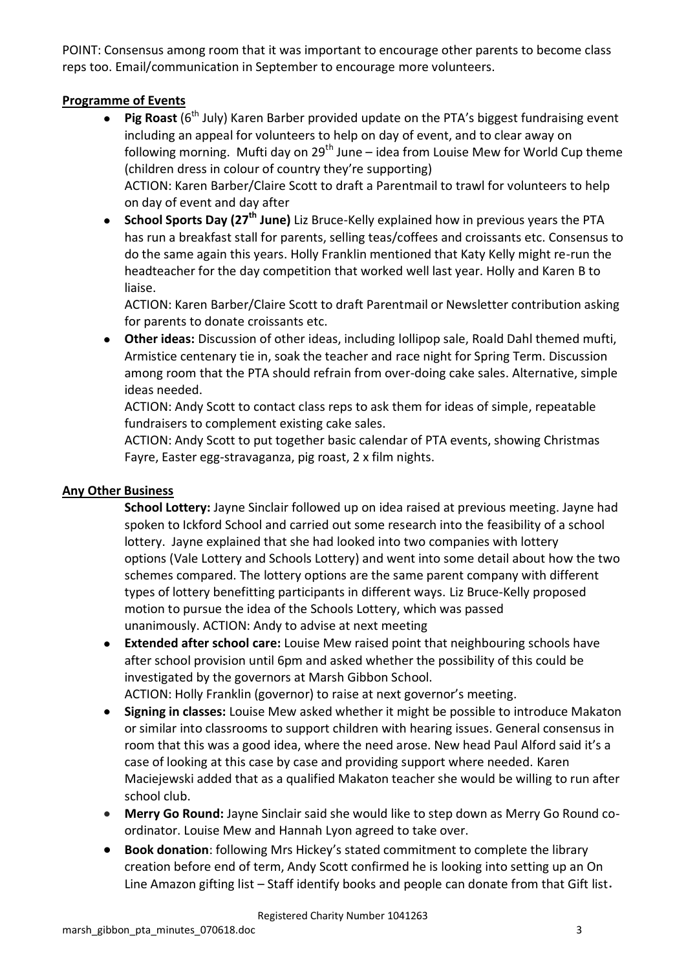POINT: Consensus among room that it was important to encourage other parents to become class reps too. Email/communication in September to encourage more volunteers.

# **Programme of Events**

- **Pig Roast** (6<sup>th</sup> July) Karen Barber provided update on the PTA's biggest fundraising event  $\bullet$ including an appeal for volunteers to help on day of event, and to clear away on following morning. Mufti day on  $29<sup>th</sup>$  June – idea from Louise Mew for World Cup theme (children dress in colour of country they're supporting) ACTION: Karen Barber/Claire Scott to draft a Parentmail to trawl for volunteers to help on day of event and day after
- **School Sports Day (27th June)** Liz Bruce-Kelly explained how in previous years the PTA has run a breakfast stall for parents, selling teas/coffees and croissants etc. Consensus to do the same again this years. Holly Franklin mentioned that Katy Kelly might re-run the headteacher for the day competition that worked well last year. Holly and Karen B to liaise.

ACTION: Karen Barber/Claire Scott to draft Parentmail or Newsletter contribution asking for parents to donate croissants etc.

**Other ideas:** Discussion of other ideas, including lollipop sale, Roald Dahl themed mufti,  $\bullet$ Armistice centenary tie in, soak the teacher and race night for Spring Term. Discussion among room that the PTA should refrain from over-doing cake sales. Alternative, simple ideas needed.

ACTION: Andy Scott to contact class reps to ask them for ideas of simple, repeatable fundraisers to complement existing cake sales.

ACTION: Andy Scott to put together basic calendar of PTA events, showing Christmas Fayre, Easter egg-stravaganza, pig roast, 2 x film nights.

### **Any Other Business**

**School Lottery:** Jayne Sinclair followed up on idea raised at previous meeting. Jayne had spoken to Ickford School and carried out some research into the feasibility of a school lottery. Jayne explained that she had looked into two companies with lottery options (Vale Lottery and Schools Lottery) and went into some detail about how the two schemes compared. The lottery options are the same parent company with different types of lottery benefitting participants in different ways. Liz Bruce-Kelly proposed motion to pursue the idea of the Schools Lottery, which was passed unanimously. ACTION: Andy to advise at next meeting

- **Extended after school care:** Louise Mew raised point that neighbouring schools have  $\bullet$ after school provision until 6pm and asked whether the possibility of this could be investigated by the governors at Marsh Gibbon School. ACTION: Holly Franklin (governor) to raise at next governor's meeting.
- **Signing in classes:** Louise Mew asked whether it might be possible to introduce Makaton  $\bullet$ or similar into classrooms to support children with hearing issues. General consensus in room that this was a good idea, where the need arose. New head Paul Alford said it's a case of looking at this case by case and providing support where needed. Karen Maciejewski added that as a qualified Makaton teacher she would be willing to run after school club.
- **Merry Go Round:** Jayne Sinclair said she would like to step down as Merry Go Round coordinator. Louise Mew and Hannah Lyon agreed to take over.
- **Book donation**: following Mrs Hickey's stated commitment to complete the library  $\bullet$ creation before end of term, Andy Scott confirmed he is looking into setting up an On Line Amazon gifting list – Staff identify books and people can donate from that Gift list.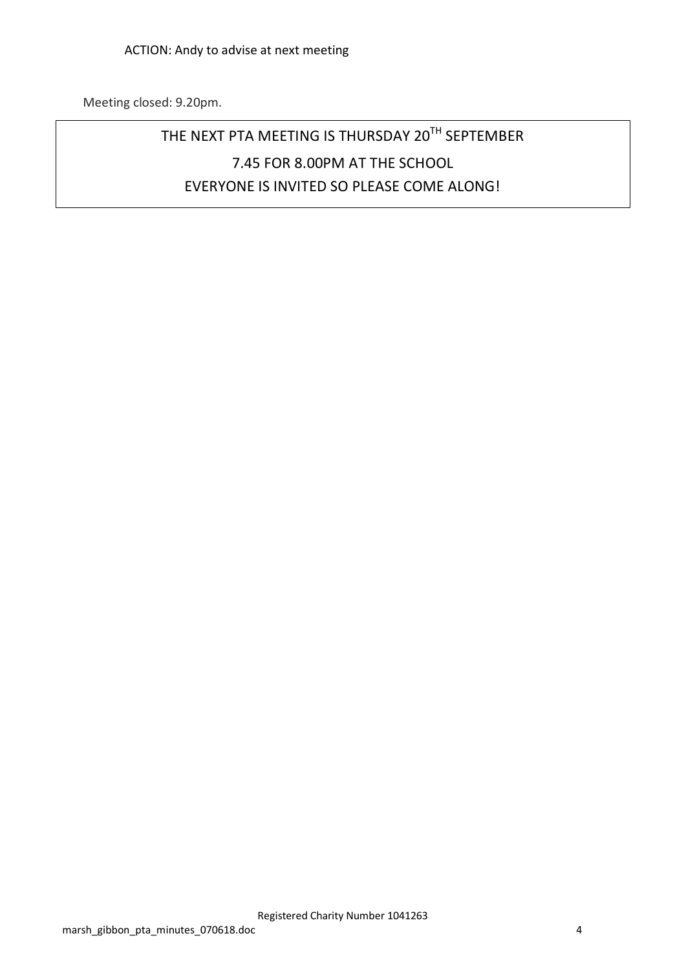Meeting closed: 9.20pm.

# THE NEXT PTA MEETING IS THURSDAY 20<sup>TH</sup> SEPTEMBER 7.45 FOR 8.00PM AT THE SCHOOL EVERYONE IS INVITED SO PLEASE COME ALONG!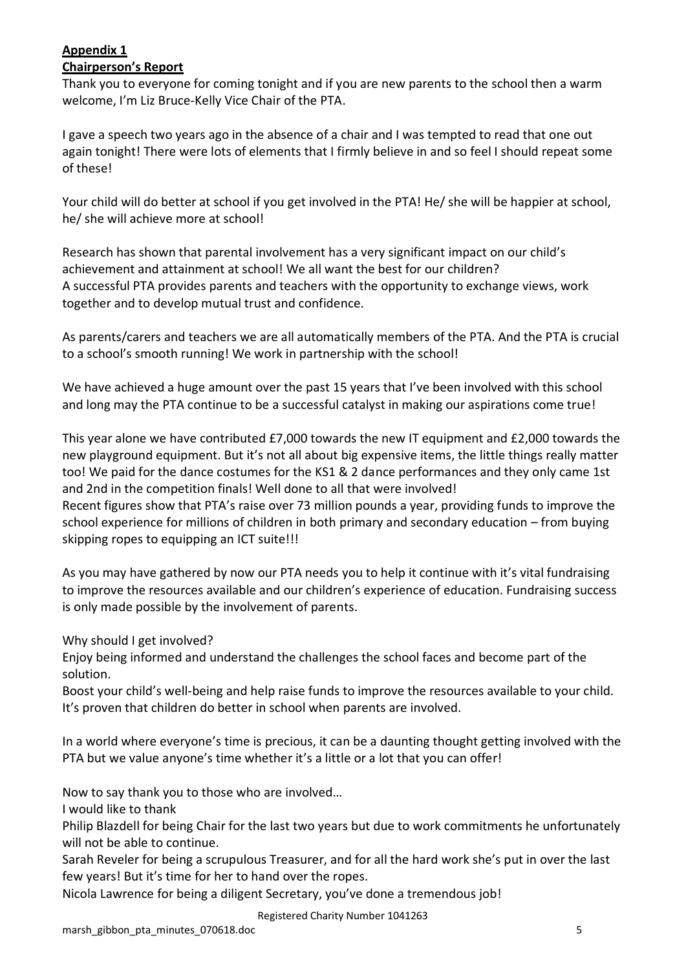# **Appendix 1**

### **Chairperson's Report**

Thank you to everyone for coming tonight and if you are new parents to the school then a warm welcome, I'm Liz Bruce-Kelly Vice Chair of the PTA.

I gave a speech two years ago in the absence of a chair and I was tempted to read that one out again tonight! There were lots of elements that I firmly believe in and so feel I should repeat some of these!

Your child will do better at school if you get involved in the PTA! He/ she will be happier at school, he/ she will achieve more at school!

Research has shown that parental involvement has a very significant impact on our child's achievement and attainment at school! We all want the best for our children? A successful PTA provides parents and teachers with the opportunity to exchange views, work together and to develop mutual trust and confidence.

As parents/carers and teachers we are all automatically members of the PTA. And the PTA is crucial to a school's smooth running! We work in partnership with the school!

We have achieved a huge amount over the past 15 years that I've been involved with this school and long may the PTA continue to be a successful catalyst in making our aspirations come true!

This year alone we have contributed £7,000 towards the new IT equipment and £2,000 towards the new playground equipment. But it's not all about big expensive items, the little things really matter too! We paid for the dance costumes for the KS1 & 2 dance performances and they only came 1st and 2nd in the competition finals! Well done to all that were involved!

Recent figures show that PTA's raise over 73 million pounds a year, providing funds to improve the school experience for millions of children in both primary and secondary education – from buying skipping ropes to equipping an ICT suite!!!

As you may have gathered by now our PTA needs you to help it continue with it's vital fundraising to improve the resources available and our children's experience of education. Fundraising success is only made possible by the involvement of parents.

Why should I get involved?

Enjoy being informed and understand the challenges the school faces and become part of the solution.

Boost your child's well-being and help raise funds to improve the resources available to your child. It's proven that children do better in school when parents are involved.

In a world where everyone's time is precious, it can be a daunting thought getting involved with the PTA but we value anyone's time whether it's a little or a lot that you can offer!

Now to say thank you to those who are involved…

I would like to thank

Philip Blazdell for being Chair for the last two years but due to work commitments he unfortunately will not be able to continue.

Sarah Reveler for being a scrupulous Treasurer, and for all the hard work she's put in over the last few years! But it's time for her to hand over the ropes.

Nicola Lawrence for being a diligent Secretary, you've done a tremendous job!

Registered Charity Number 1041263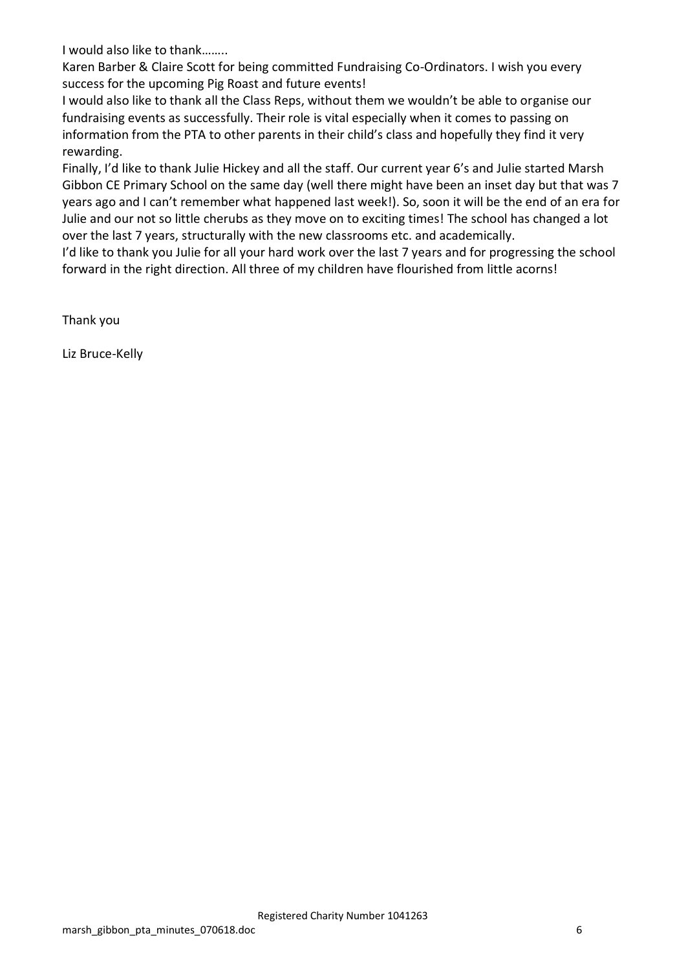I would also like to thank……..

Karen Barber & Claire Scott for being committed Fundraising Co-Ordinators. I wish you every success for the upcoming Pig Roast and future events!

I would also like to thank all the Class Reps, without them we wouldn't be able to organise our fundraising events as successfully. Their role is vital especially when it comes to passing on information from the PTA to other parents in their child's class and hopefully they find it very rewarding.

Finally, I'd like to thank Julie Hickey and all the staff. Our current year 6's and Julie started Marsh Gibbon CE Primary School on the same day (well there might have been an inset day but that was 7 years ago and I can't remember what happened last week!). So, soon it will be the end of an era for Julie and our not so little cherubs as they move on to exciting times! The school has changed a lot over the last 7 years, structurally with the new classrooms etc. and academically.

I'd like to thank you Julie for all your hard work over the last 7 years and for progressing the school forward in the right direction. All three of my children have flourished from little acorns!

Thank you

Liz Bruce-Kelly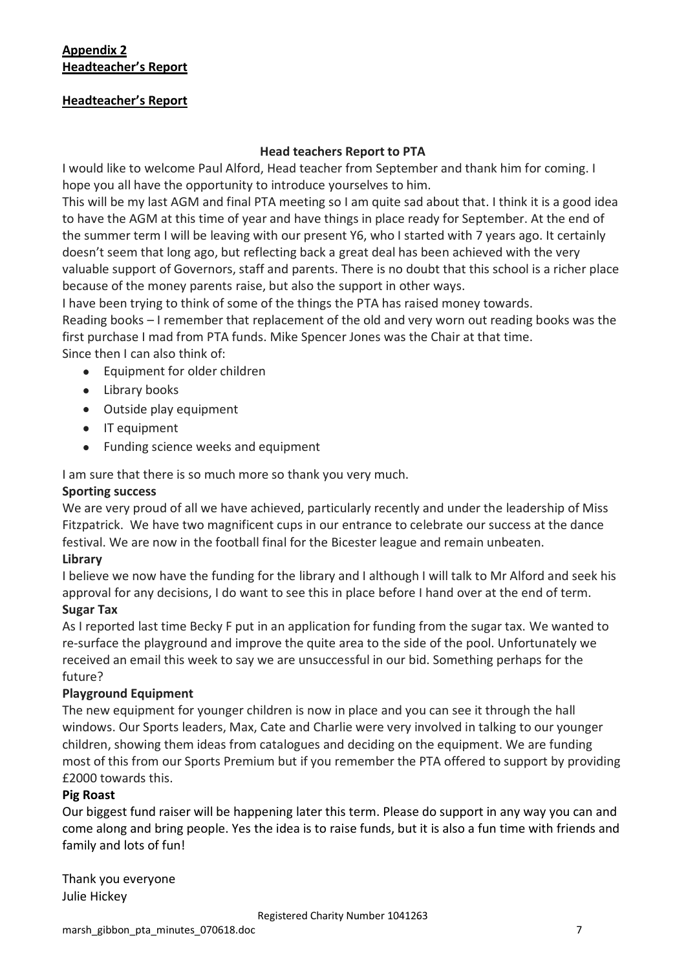# **Appendix 2 Headteacher's Report**

### **Headteacher's Report**

### **Head teachers Report to PTA**

I would like to welcome Paul Alford, Head teacher from September and thank him for coming. I hope you all have the opportunity to introduce yourselves to him.

This will be my last AGM and final PTA meeting so I am quite sad about that. I think it is a good idea to have the AGM at this time of year and have things in place ready for September. At the end of the summer term I will be leaving with our present Y6, who I started with 7 years ago. It certainly doesn't seem that long ago, but reflecting back a great deal has been achieved with the very valuable support of Governors, staff and parents. There is no doubt that this school is a richer place because of the money parents raise, but also the support in other ways.

I have been trying to think of some of the things the PTA has raised money towards.

Reading books – I remember that replacement of the old and very worn out reading books was the first purchase I mad from PTA funds. Mike Spencer Jones was the Chair at that time.

Since then I can also think of:

- Equipment for older children
- Library books
- Outside play equipment
- IT equipment
- Funding science weeks and equipment

I am sure that there is so much more so thank you very much.

### **Sporting success**

We are very proud of all we have achieved, particularly recently and under the leadership of Miss Fitzpatrick. We have two magnificent cups in our entrance to celebrate our success at the dance festival. We are now in the football final for the Bicester league and remain unbeaten.

### **Library**

I believe we now have the funding for the library and I although I will talk to Mr Alford and seek his approval for any decisions, I do want to see this in place before I hand over at the end of term.

### **Sugar Tax**

As I reported last time Becky F put in an application for funding from the sugar tax. We wanted to re-surface the playground and improve the quite area to the side of the pool. Unfortunately we received an email this week to say we are unsuccessful in our bid. Something perhaps for the future?

### **Playground Equipment**

The new equipment for younger children is now in place and you can see it through the hall windows. Our Sports leaders, Max, Cate and Charlie were very involved in talking to our younger children, showing them ideas from catalogues and deciding on the equipment. We are funding most of this from our Sports Premium but if you remember the PTA offered to support by providing £2000 towards this.

### **Pig Roast**

Our biggest fund raiser will be happening later this term. Please do support in any way you can and come along and bring people. Yes the idea is to raise funds, but it is also a fun time with friends and family and lots of fun!

Thank you everyone Julie Hickey